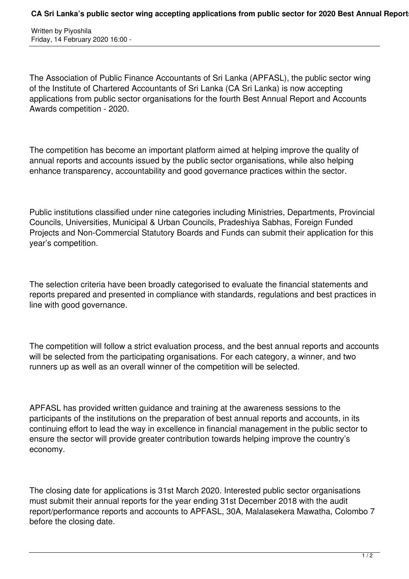Written by Piyoshila Friday, 14 February 2020 16:00 -

The Association of Public Finance Accountants of Sri Lanka (APFASL), the public sector wing of the Institute of Chartered Accountants of Sri Lanka (CA Sri Lanka) is now accepting applications from public sector organisations for the fourth Best Annual Report and Accounts Awards competition - 2020.

The competition has become an important platform aimed at helping improve the quality of annual reports and accounts issued by the public sector organisations, while also helping enhance transparency, accountability and good governance practices within the sector.

Public institutions classified under nine categories including Ministries, Departments, Provincial Councils, Universities, Municipal & Urban Councils, Pradeshiya Sabhas, Foreign Funded Projects and Non-Commercial Statutory Boards and Funds can submit their application for this year's competition.

The selection criteria have been broadly categorised to evaluate the financial statements and reports prepared and presented in compliance with standards, regulations and best practices in line with good governance.

The competition will follow a strict evaluation process, and the best annual reports and accounts will be selected from the participating organisations. For each category, a winner, and two runners up as well as an overall winner of the competition will be selected.

APFASL has provided written guidance and training at the awareness sessions to the participants of the institutions on the preparation of best annual reports and accounts, in its continuing effort to lead the way in excellence in financial management in the public sector to ensure the sector will provide greater contribution towards helping improve the country's economy.

The closing date for applications is 31st March 2020. Interested public sector organisations must submit their annual reports for the year ending 31st December 2018 with the audit report/performance reports and accounts to APFASL, 30A, Malalasekera Mawatha, Colombo 7 before the closing date.